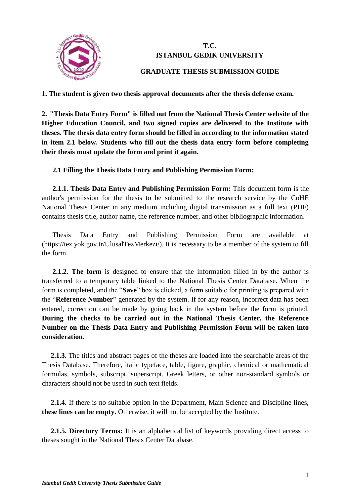

# **T.C. ISTANBUL GEDIK UNIVERSITY**

# **GRADUATE THESIS SUBMISSION GUIDE**

**1. The student is given two thesis approval documents after the thesis defense exam.**

**2. "Thesis Data Entry Form" is filled out from the National Thesis Center website of the Higher Education Council, and two signed copies are delivered to the Institute with theses. The thesis data entry form should be filled in according to the information stated in item 2.1 below. Students who fill out the thesis data entry form before completing their thesis must update the form and print it again.**

# **2.1 Filling the Thesis Data Entry and Publishing Permission Form:**

**2.1.1. Thesis Data Entry and Publishing Permission Form:** This document form is the author's permission for the thesis to be submitted to the research service by the CoHE National Thesis Center in any medium including digital transmission as a full text (PDF) contains thesis title, author name, the reference number, and other bibliographic information.

Thesis Data Entry and Publishing Permission Form are available at (https://tez.yok.gov.tr/UlusalTezMerkezi/). It is necessary to be a member of the system to fill the form.

**2.1.2. The form** is designed to ensure that the information filled in by the author is transferred to a temporary table linked to the National Thesis Center Database. When the form is completed, and the "**Save**" box is clicked, a form suitable for printing is prepared with the "**Reference Number**" generated by the system. If for any reason, incorrect data has been entered, correction can be made by going back in the system before the form is printed. **During the checks to be carried out in the National Thesis Center, the Reference Number on the Thesis Data Entry and Publishing Permission Form will be taken into consideration.**

**2.1.3.** The titles and abstract pages of the theses are loaded into the searchable areas of the Thesis Database. Therefore, italic typeface, table, figure, graphic, chemical or mathematical formulas, symbols, subscript, superscript, Greek letters, or other non-standard symbols or characters should not be used in such text fields.

**2.1.4.** If there is no suitable option in the Department, Main Science and Discipline lines, **these lines can be empty**. Otherwise, it will not be accepted by the Institute.

**2.1.5. Directory Terms:** It is an alphabetical list of keywords providing direct access to theses sought in the National Thesis Center Database.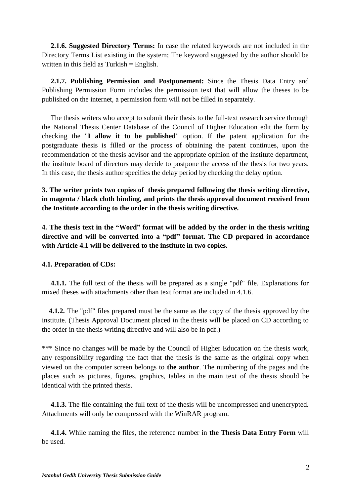**2.1.6. Suggested Directory Terms:** In case the related keywords are not included in the Directory Terms List existing in the system; The keyword suggested by the author should be written in this field as Turkish = English.

**2.1.7. Publishing Permission and Postponement:** Since the Thesis Data Entry and Publishing Permission Form includes the permission text that will allow the theses to be published on the internet, a permission form will not be filled in separately.

The thesis writers who accept to submit their thesis to the full-text research service through the National Thesis Center Database of the Council of Higher Education edit the form by checking the "**I allow it to be published**" option. If the patent application for the postgraduate thesis is filled or the process of obtaining the patent continues, upon the recommendation of the thesis advisor and the appropriate opinion of the institute department, the institute board of directors may decide to postpone the access of the thesis for two years. In this case, the thesis author specifies the delay period by checking the delay option.

**3. The writer prints two copies of thesis prepared following the thesis writing directive, in magenta / black cloth binding, and prints the thesis approval document received from the Institute according to the order in the thesis writing directive.**

**4. The thesis text in the "Word" format will be added by the order in the thesis writing directive and will be converted into a "pdf" format. The CD prepared in accordance with Article 4.1 will be delivered to the institute in two copies.**

## **4.1. Preparation of CDs:**

**4.1.1.** The full text of the thesis will be prepared as a single "pdf" file. Explanations for mixed theses with attachments other than text format are included in 4.1.6.

**4.1.2.** The "pdf" files prepared must be the same as the copy of the thesis approved by the institute. (Thesis Approval Document placed in the thesis will be placed on CD according to the order in the thesis writing directive and will also be in pdf.)

\*\*\* Since no changes will be made by the Council of Higher Education on the thesis work, any responsibility regarding the fact that the thesis is the same as the original copy when viewed on the computer screen belongs to **the author**. The numbering of the pages and the places such as pictures, figures, graphics, tables in the main text of the thesis should be identical with the printed thesis.

**4.1.3.** The file containing the full text of the thesis will be uncompressed and unencrypted. Attachments will only be compressed with the WinRAR program.

**4.1.4.** While naming the files, the reference number in **the Thesis Data Entry Form** will be used.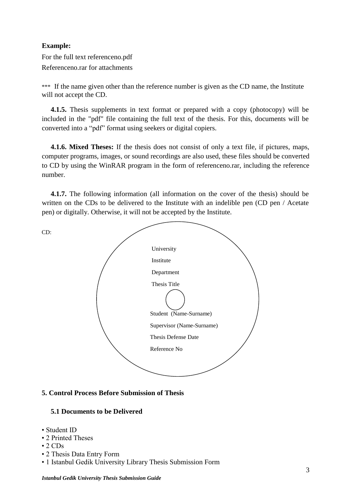## **Example:**

For the full text referenceno.pdf Referenceno.rar for attachments

\*\*\* If the name given other than the reference number is given as the CD name, the Institute will not accept the CD.

**4.1.5.** Thesis supplements in text format or prepared with a copy (photocopy) will be included in the "pdf" file containing the full text of the thesis. For this, documents will be converted into a "pdf" format using seekers or digital copiers.

**4.1.6. Mixed Theses:** If the thesis does not consist of only a text file, if pictures, maps, computer programs, images, or sound recordings are also used, these files should be converted to CD by using the WinRAR program in the form of referenceno.rar, including the reference number.

**4.1.7.** The following information (all information on the cover of the thesis) should be written on the CDs to be delivered to the Institute with an indelible pen (CD pen / Acetate pen) or digitally. Otherwise, it will not be accepted by the Institute.



## **5. Control Process Before Submission of Thesis**

## **5.1 Documents to be Delivered**

- Student ID
- 2 Printed Theses
- 2 CDs
- 2 Thesis Data Entry Form
- 1 Istanbul Gedik University Library Thesis Submission Form